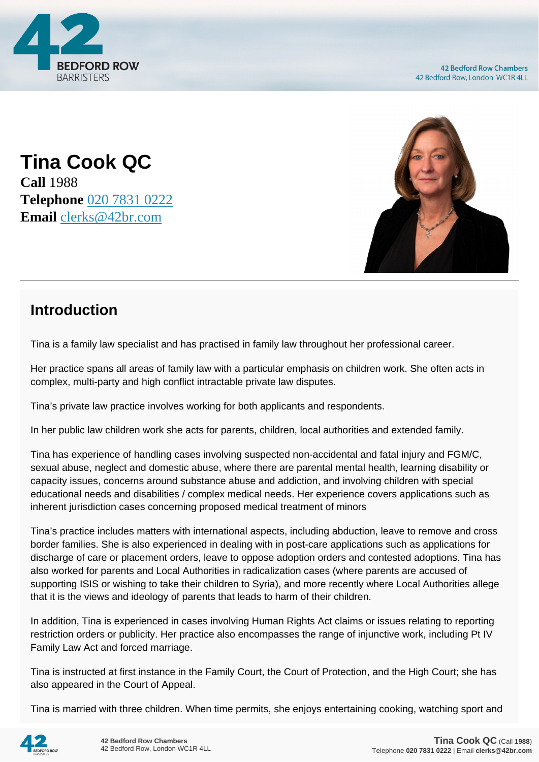

**Tina Cook QC Call** 1988 **Telephone** [020 7831 0222](https://pdf.codeshore.co/_42br/tel:020 7831 0222) **Email** [clerks@42br.com](mailto:clerks@42br.com)



# **Introduction**

Tina is a family law specialist and has practised in family law throughout her professional career.

Her practice spans all areas of family law with a particular emphasis on children work. She often acts in complex, multi-party and high conflict intractable private law disputes.

Tina's private law practice involves working for both applicants and respondents.

In her public law children work she acts for parents, children, local authorities and extended family.

Tina has experience of handling cases involving suspected non-accidental and fatal injury and FGM/C, sexual abuse, neglect and domestic abuse, where there are parental mental health, learning disability or capacity issues, concerns around substance abuse and addiction, and involving children with special educational needs and disabilities / complex medical needs. Her experience covers applications such as inherent jurisdiction cases concerning proposed medical treatment of minors

Tina's practice includes matters with international aspects, including abduction, leave to remove and cross border families. She is also experienced in dealing with in post-care applications such as applications for discharge of care or placement orders, leave to oppose adoption orders and contested adoptions. Tina has also worked for parents and Local Authorities in radicalization cases (where parents are accused of supporting ISIS or wishing to take their children to Syria), and more recently where Local Authorities allege that it is the views and ideology of parents that leads to harm of their children.

In addition, Tina is experienced in cases involving Human Rights Act claims or issues relating to reporting restriction orders or publicity. Her practice also encompasses the range of injunctive work, including Pt IV Family Law Act and forced marriage.

Tina is instructed at first instance in the Family Court, the Court of Protection, and the High Court; she has also appeared in the Court of Appeal.

Tina is married with three children. When time permits, she enjoys entertaining cooking, watching sport and

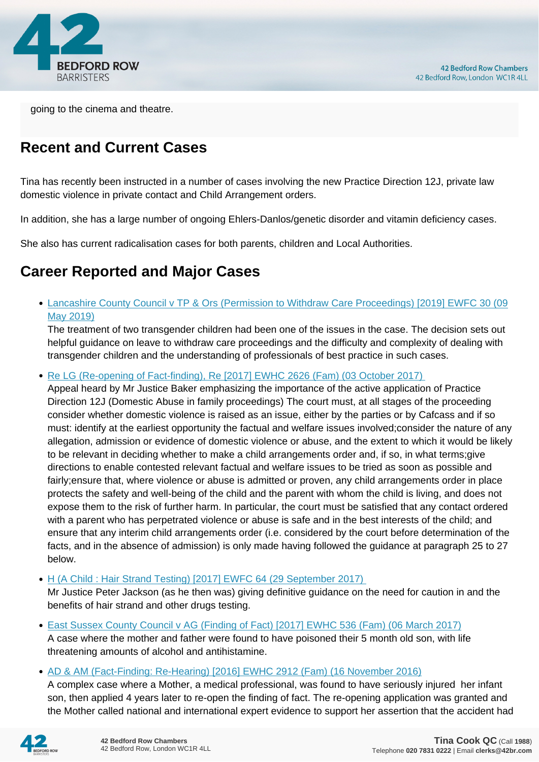

going to the cinema and theatre.

# **Recent and Current Cases**

Tina has recently been instructed in a number of cases involving the new Practice Direction 12J, private law domestic violence in private contact and Child Arrangement orders.

In addition, she has a large number of ongoing Ehlers-Danlos/genetic disorder and vitamin deficiency cases.

She also has current radicalisation cases for both parents, children and Local Authorities.

## **Career Reported and Major Cases**

[Lancashire County Council v TP & Ors \(Permission to Withdraw Care Proceedings\) \[2019\] EWFC 30 \(09](https://www.42br.com/latest-news/lancashire-county-council-v-tp-and-ors-permission-to-withdraw-care-proceedings-2019.htm) [May 2019\)](https://www.42br.com/latest-news/lancashire-county-council-v-tp-and-ors-permission-to-withdraw-care-proceedings-2019.htm)

The treatment of two transgender children had been one of the issues in the case. The decision sets out helpful guidance on leave to withdraw care proceedings and the difficulty and complexity of dealing with transgender children and the understanding of professionals of best practice in such cases.

• Re LG (Re-opening of Fact-finding), Re [2017] EWHC 2626 (Fam) (03 October 2017)

Appeal heard by Mr Justice Baker emphasizing the importance of the active application of Practice Direction 12J (Domestic Abuse in family proceedings) The court must, at all stages of the proceeding consider whether domestic violence is raised as an issue, either by the parties or by Cafcass and if so must: identify at the earliest opportunity the factual and welfare issues involved;consider the nature of any allegation, admission or evidence of domestic violence or abuse, and the extent to which it would be likely to be relevant in deciding whether to make a child arrangements order and, if so, in what terms;give directions to enable contested relevant factual and welfare issues to be tried as soon as possible and fairly;ensure that, where violence or abuse is admitted or proven, any child arrangements order in place protects the safety and well-being of the child and the parent with whom the child is living, and does not expose them to the risk of further harm. In particular, the court must be satisfied that any contact ordered with a parent who has perpetrated violence or abuse is safe and in the best interests of the child; and ensure that any interim child arrangements order (i.e. considered by the court before determination of the facts, and in the absence of admission) is only made having followed the guidance at paragraph 25 to 27 below.

• H (A Child : Hair Strand Testing) [2017] EWFC 64 (29 September 2017)

Mr Justice Peter Jackson (as he then was) giving definitive guidance on the need for caution in and the benefits of hair strand and other drugs testing.

- [East Sussex County Council v AG \(Finding of Fact\) \[2017\] EWHC 536 \(Fam\) \(06 March 2017\)](http://www.bailii.org/ew/cases/EWHC/Fam/2017/536.html) A case where the mother and father were found to have poisoned their 5 month old son, with life threatening amounts of alcohol and antihistamine.
- [AD & AM \(Fact-Finding: Re-Hearing\) \[2016\] EWHC 2912 \(Fam\) \(16 November 2016\)](http://www.bailii.org/cgi-bin/format.cgi?doc=/ew/cases/EWHC/Fam/2016/2912.html&query=(Tina)+AND+(Cook)+AND+(QC))

A complex case where a Mother, a medical professional, was found to have seriously injured her infant son, then applied 4 years later to re-open the finding of fact. The re-opening application was granted and the Mother called national and international expert evidence to support her assertion that the accident had